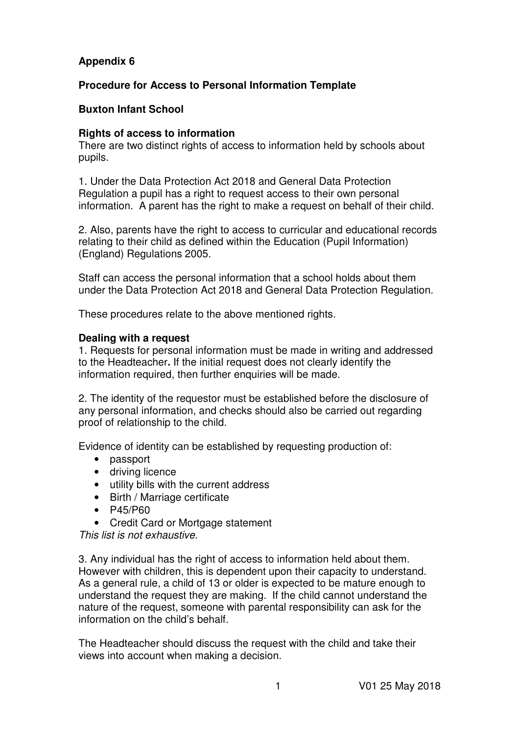# **Appendix 6**

# **Procedure for Access to Personal Information Template**

## **Buxton Infant School**

### **Rights of access to information**

There are two distinct rights of access to information held by schools about pupils.

1. Under the Data Protection Act 2018 and General Data Protection Regulation a pupil has a right to request access to their own personal information. A parent has the right to make a request on behalf of their child.

2. Also, parents have the right to access to curricular and educational records relating to their child as defined within the Education (Pupil Information) (England) Regulations 2005.

Staff can access the personal information that a school holds about them under the Data Protection Act 2018 and General Data Protection Regulation.

These procedures relate to the above mentioned rights.

#### **Dealing with a request**

1. Requests for personal information must be made in writing and addressed to the Headteacher**.** If the initial request does not clearly identify the information required, then further enquiries will be made.

2. The identity of the requestor must be established before the disclosure of any personal information, and checks should also be carried out regarding proof of relationship to the child.

Evidence of identity can be established by requesting production of:

- passport
- driving licence
- utility bills with the current address
- Birth / Marriage certificate
- P45/P60
- Credit Card or Mortgage statement

This list is not exhaustive.

3. Any individual has the right of access to information held about them. However with children, this is dependent upon their capacity to understand. As a general rule, a child of 13 or older is expected to be mature enough to understand the request they are making. If the child cannot understand the nature of the request, someone with parental responsibility can ask for the information on the child's behalf.

The Headteacher should discuss the request with the child and take their views into account when making a decision.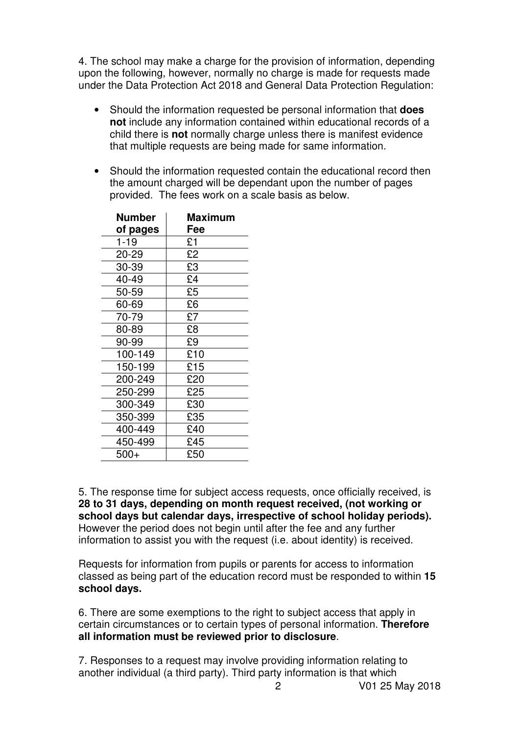4. The school may make a charge for the provision of information, depending upon the following, however, normally no charge is made for requests made under the Data Protection Act 2018 and General Data Protection Regulation:

- Should the information requested be personal information that **does not** include any information contained within educational records of a child there is **not** normally charge unless there is manifest evidence that multiple requests are being made for same information.
- Should the information requested contain the educational record then the amount charged will be dependant upon the number of pages provided. The fees work on a scale basis as below.

| <b>Number</b> | Maximum |
|---------------|---------|
| of pages      | Fee     |
| $1 - 19$      | £1      |
| 20-29         | £2      |
| 30-39         | £3      |
| 40-49         | £4      |
| 50-59         | £5      |
| 60-69         | £6      |
| 70-79         | £7      |
| 80-89         | £8      |
| 90-99         | £9      |
| 100-149       | £10     |
| 150-199       | £15     |
| 200-249       | £20     |
| 250-299       | £25     |
| 300-349       | £30     |
| 350-399       | £35     |
| 400-449       | £40     |
| 450-499       | £45     |
| $500+$        | £50     |

5. The response time for subject access requests, once officially received, is **28 to 31 days, depending on month request received, (not working or school days but calendar days, irrespective of school holiday periods).** However the period does not begin until after the fee and any further information to assist you with the request (i.e. about identity) is received.

Requests for information from pupils or parents for access to information classed as being part of the education record must be responded to within **15 school days.** 

6. There are some exemptions to the right to subject access that apply in certain circumstances or to certain types of personal information. **Therefore all information must be reviewed prior to disclosure**.

7. Responses to a request may involve providing information relating to another individual (a third party). Third party information is that which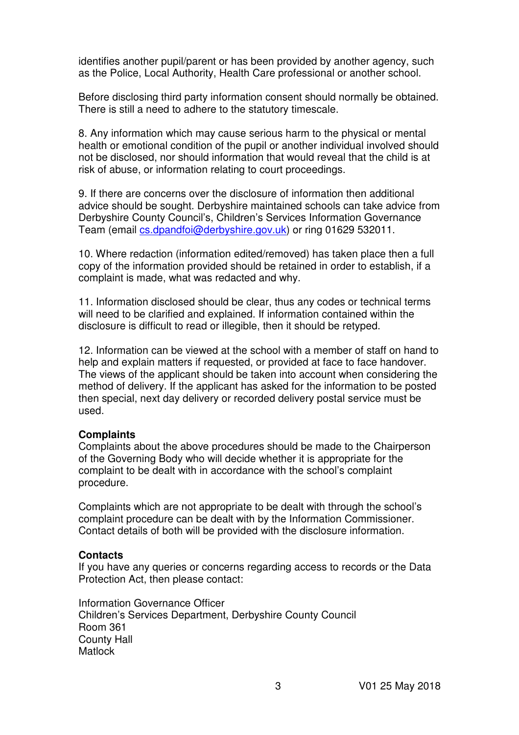identifies another pupil/parent or has been provided by another agency, such as the Police, Local Authority, Health Care professional or another school.

Before disclosing third party information consent should normally be obtained. There is still a need to adhere to the statutory timescale.

8. Any information which may cause serious harm to the physical or mental health or emotional condition of the pupil or another individual involved should not be disclosed, nor should information that would reveal that the child is at risk of abuse, or information relating to court proceedings.

9. If there are concerns over the disclosure of information then additional advice should be sought. Derbyshire maintained schools can take advice from Derbyshire County Council's, Children's Services Information Governance Team (email cs.dpandfoi@derbyshire.gov.uk) or ring 01629 532011.

10. Where redaction (information edited/removed) has taken place then a full copy of the information provided should be retained in order to establish, if a complaint is made, what was redacted and why.

11. Information disclosed should be clear, thus any codes or technical terms will need to be clarified and explained. If information contained within the disclosure is difficult to read or illegible, then it should be retyped.

12. Information can be viewed at the school with a member of staff on hand to help and explain matters if requested, or provided at face to face handover. The views of the applicant should be taken into account when considering the method of delivery. If the applicant has asked for the information to be posted then special, next day delivery or recorded delivery postal service must be used.

#### **Complaints**

Complaints about the above procedures should be made to the Chairperson of the Governing Body who will decide whether it is appropriate for the complaint to be dealt with in accordance with the school's complaint procedure.

Complaints which are not appropriate to be dealt with through the school's complaint procedure can be dealt with by the Information Commissioner. Contact details of both will be provided with the disclosure information.

### **Contacts**

If you have any queries or concerns regarding access to records or the Data Protection Act, then please contact:

Information Governance Officer Children's Services Department, Derbyshire County Council Room 361 County Hall **Matlock**